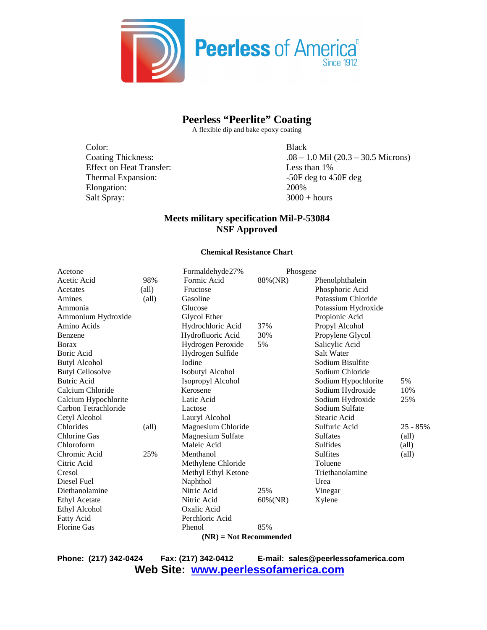

### **Peerless "Peerlite" Coating**

A flexible dip and bake epoxy coating

Color: Black Effect on Heat Transfer: Less than 1% Thermal Expansion:  $-50F$  deg to 450F deg Elongation: 200% Salt Spray:  $3000 + hours$ 

Coating Thickness: .08 – 1.0 Mil (20.3 – 30.5 Microns)

### **Meets military specification Mil-P-53084 NSF Approved**

#### **Chemical Resistance Chart**

| Acetone                  |                | Formaldehyde27%          | Phosgene    |                     |                |  |
|--------------------------|----------------|--------------------------|-------------|---------------------|----------------|--|
| Acetic Acid              | 98%            | Formic Acid              | 88%(NR)     | Phenolphthalein     |                |  |
| Acetates                 | $\text{(all)}$ | Fructose                 |             | Phosphoric Acid     |                |  |
| Amines                   | $\text{(all)}$ | Gasoline                 |             | Potassium Chloride  |                |  |
| Ammonia                  |                | Glucose                  |             | Potassium Hydroxide |                |  |
| Ammonium Hydroxide       |                | Glycol Ether             |             | Propionic Acid      |                |  |
| Amino Acids              |                | Hydrochloric Acid        | 37%         | Propyl Alcohol      |                |  |
| Benzene                  |                | Hydrofluoric Acid        | 30%         | Propylene Glycol    |                |  |
| <b>B</b> orax            |                | Hydrogen Peroxide        | 5%          | Salicylic Acid      |                |  |
| <b>Boric Acid</b>        |                | Hydrogen Sulfide         |             | Salt Water          |                |  |
| <b>Butyl Alcohol</b>     |                | <b>I</b> odine           |             | Sodium Bisulfite    |                |  |
| <b>Butyl Cellosolve</b>  |                | Isobutyl Alcohol         |             | Sodium Chloride     |                |  |
| <b>Butric Acid</b>       |                | Isopropyl Alcohol        |             | Sodium Hypochlorite | 5%             |  |
| Calcium Chloride         |                | Kerosene                 |             | Sodium Hydroxide    | 10%            |  |
| Calcium Hypochlorite     |                | Latic Acid               |             | Sodium Hydroxide    | 25%            |  |
| Carbon Tetrachloride     |                | Lactose                  |             | Sodium Sulfate      |                |  |
| Cetyl Alcohol            |                | Lauryl Alcohol           |             | Stearic Acid        |                |  |
| Chlorides                | $\text{(all)}$ | Magnesium Chloride       |             | Sulfuric Acid       | $25 - 85%$     |  |
| <b>Chlorine Gas</b>      |                | <b>Magnesium Sulfate</b> |             | <b>Sulfates</b>     | $\text{(all)}$ |  |
| Chloroform               |                | Maleic Acid              |             | <b>Sulfides</b>     | $\text{(all)}$ |  |
| Chromic Acid             | 25%            | Menthanol                |             | <b>Sulfites</b>     | $\text{(all)}$ |  |
| Citric Acid              |                | Methylene Chloride       |             | Toluene             |                |  |
| Cresol                   |                | Methyl Ethyl Ketone      |             | Triethanolamine     |                |  |
| Diesel Fuel              |                | Naphthol                 |             | Urea                |                |  |
| Diethanolamine           |                | Nitric Acid              | 25%         | Vinegar             |                |  |
| <b>Ethyl Acetate</b>     |                | Nitric Acid              | $60\%$ (NR) | Xylene              |                |  |
| Ethyl Alcohol            |                | Oxalic Acid              |             |                     |                |  |
| Fatty Acid               |                | Perchloric Acid          |             |                     |                |  |
| <b>Florine Gas</b>       |                | Phenol                   | 85%         |                     |                |  |
| $(NR)$ = Not Recommended |                |                          |             |                     |                |  |

**Phone: (217) 342-0424 Fax: (217) 342-0412 E-mail: sales@peerlessofamerica.com Web Site: www.peerlessofamerica.com**